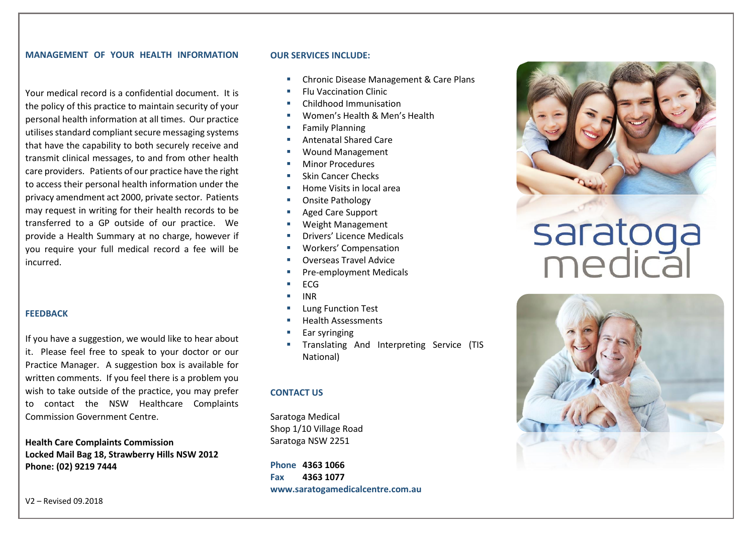#### **MANAGEMENT OF YOUR HEALTH INFORMATION**

Your medical record is a confidential document. It is the policy of this practice to maintain security of your personal health information at all times. Our practice utilises standard compliant secure messaging systems that have the capability to both securely receive and transmit clinical messages, to and from other health care providers. Patients of our practice have the right to access their personal health information under the privacy amendment act 2000, private sector. Patients may request in writing for their health records to be transferred to a GP outside of our practice. We provide a Health Summary at no charge, however if you require your full medical record a fee will be incurred.

#### **FEEDBACK**

If you have a suggestion, we would like to hear about it. Please feel free to speak to your doctor or our Practice Manager. A suggestion box is available for written comments. If you feel there is a problem you wish to take outside of the practice, you may prefer to contact the NSW Healthcare Complaints Commission Government Centre.

**Health Care Complaints Commission Locked Mail Bag 18, Strawberry Hills NSW 2012 Phone: (02) 9219 7444**

#### **OUR SERVICES INCLUDE:**

- Chronic Disease Management & Care Plans
- **Elu Vaccination Clinic**
- Childhood Immunisation
- Women's Health & Men's Health
- Family Planning
- Antenatal Shared Care
- Wound Management
- **Minor Procedures**
- Skin Cancer Checks
- Home Visits in local area
- Onsite Pathology
- Aged Care Support
- Weight Management
- Drivers' Licence Medicals
- Workers' Compensation
- Overseas Travel Advice
- Pre-employment Medicals
- ECG
- INR
- **Lung Function Test**
- **Health Assessments**
- Ear syringing
- Translating And Interpreting Service (TIS National)

#### **CONTACT US**

Saratoga Medical Shop 1/10 Village Road Saratoga NSW 2251

**Phone 4363 1066 Fax 4363 1077 www.saratogamedicalcentre.com.au**



# saratoga<br>medical